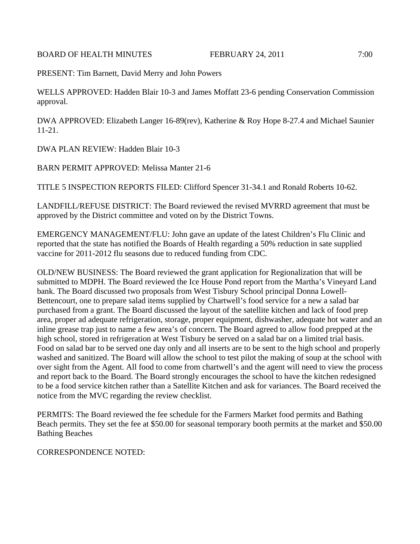BOARD OF HEALTH MINUTES FEBRUARY 24, 2011 7:00

PRESENT: Tim Barnett, David Merry and John Powers

WELLS APPROVED: Hadden Blair 10-3 and James Moffatt 23-6 pending Conservation Commission approval.

DWA APPROVED: Elizabeth Langer 16-89(rev), Katherine & Roy Hope 8-27.4 and Michael Saunier 11-21.

DWA PLAN REVIEW: Hadden Blair 10-3

BARN PERMIT APPROVED: Melissa Manter 21-6

TITLE 5 INSPECTION REPORTS FILED: Clifford Spencer 31-34.1 and Ronald Roberts 10-62.

LANDFILL/REFUSE DISTRICT: The Board reviewed the revised MVRRD agreement that must be approved by the District committee and voted on by the District Towns.

EMERGENCY MANAGEMENT/FLU: John gave an update of the latest Children's Flu Clinic and reported that the state has notified the Boards of Health regarding a 50% reduction in sate supplied vaccine for 2011-2012 flu seasons due to reduced funding from CDC.

OLD/NEW BUSINESS: The Board reviewed the grant application for Regionalization that will be submitted to MDPH. The Board reviewed the Ice House Pond report from the Martha's Vineyard Land bank. The Board discussed two proposals from West Tisbury School principal Donna Lowell-Bettencourt, one to prepare salad items supplied by Chartwell's food service for a new a salad bar purchased from a grant. The Board discussed the layout of the satellite kitchen and lack of food prep area, proper ad adequate refrigeration, storage, proper equipment, dishwasher, adequate hot water and an inline grease trap just to name a few area's of concern. The Board agreed to allow food prepped at the high school, stored in refrigeration at West Tisbury be served on a salad bar on a limited trial basis. Food on salad bar to be served one day only and all inserts are to be sent to the high school and properly washed and sanitized. The Board will allow the school to test pilot the making of soup at the school with over sight from the Agent. All food to come from chartwell's and the agent will need to view the process and report back to the Board. The Board strongly encourages the school to have the kitchen redesigned to be a food service kitchen rather than a Satellite Kitchen and ask for variances. The Board received the notice from the MVC regarding the review checklist.

PERMITS: The Board reviewed the fee schedule for the Farmers Market food permits and Bathing Beach permits. They set the fee at \$50.00 for seasonal temporary booth permits at the market and \$50.00 Bathing Beaches

CORRESPONDENCE NOTED: